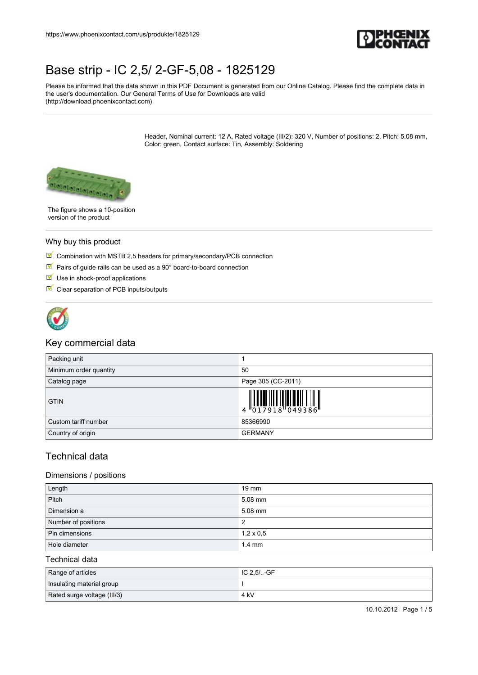

Please be informed that the data shown in this PDF Document is generated from our Online Catalog. Please find the complete data in the user's documentation. Our General Terms of Use for Downloads are valid (http://download.phoenixcontact.com)

> Header, Nominal current: 12 A, Rated voltage (III/2): 320 V, Number of positions: 2, Pitch: 5.08 mm, Color: green, Contact surface: Tin, Assembly: Soldering



The figure shows a 10-position version of the product

### Why buy this product

- $\Box$  Combination with MSTB 2,5 headers for primary/secondary/PCB connection
- Pairs of guide rails can be used as a  $90^\circ$  board-to-board connection
- $\blacksquare$  Use in shock-proof applications
- $\blacksquare$  Clear separation of PCB inputs/outputs



## Key commercial data

| Packing unit           |                                                                                                                                                                                                                                                                                                                                                                                                                                                                                       |
|------------------------|---------------------------------------------------------------------------------------------------------------------------------------------------------------------------------------------------------------------------------------------------------------------------------------------------------------------------------------------------------------------------------------------------------------------------------------------------------------------------------------|
| Minimum order quantity | 50                                                                                                                                                                                                                                                                                                                                                                                                                                                                                    |
| Catalog page           | Page 305 (CC-2011)                                                                                                                                                                                                                                                                                                                                                                                                                                                                    |
| <b>GTIN</b>            | $\left\  \begin{matrix} 1 \\ 0 \\ 1 \end{matrix} \right\ _2 \left\  \begin{matrix} 1 \\ 0 \\ 1 \end{matrix} \right\ _2 \left\  \begin{matrix} 1 \\ 0 \\ 0 \end{matrix} \right\ _2 \left\  \begin{matrix} 1 \\ 0 \\ 0 \end{matrix} \right\ _2 \left\  \begin{matrix} 1 \\ 0 \\ 0 \end{matrix} \right\ _2 \left\  \begin{matrix} 1 \\ 0 \\ 0 \end{matrix} \right\ _2 \left\  \begin{matrix} 1 \\ 0 \\ 0 \end{matrix} \right\ _2 \left\  \begin{matrix} 1 \\ 0 \\ 0 \end{matrix} \right$ |
| Custom tariff number   | 85366990                                                                                                                                                                                                                                                                                                                                                                                                                                                                              |
| Country of origin      | <b>GERMANY</b>                                                                                                                                                                                                                                                                                                                                                                                                                                                                        |

## Technical data

### Dimensions / positions

| Length              | $19 \text{ mm}$  |
|---------------------|------------------|
| Pitch               | 5.08 mm          |
| Dimension a         | 5.08 mm          |
| Number of positions | 2                |
| Pin dimensions      | $1,2 \times 0,5$ |
| Hole diameter       | $1.4 \text{ mm}$ |

## Technical data

| Range of articles           | ⊟C 2.5/…GF |
|-----------------------------|------------|
| Insulating material group   |            |
| Rated surge voltage (III/3) | 4 kV       |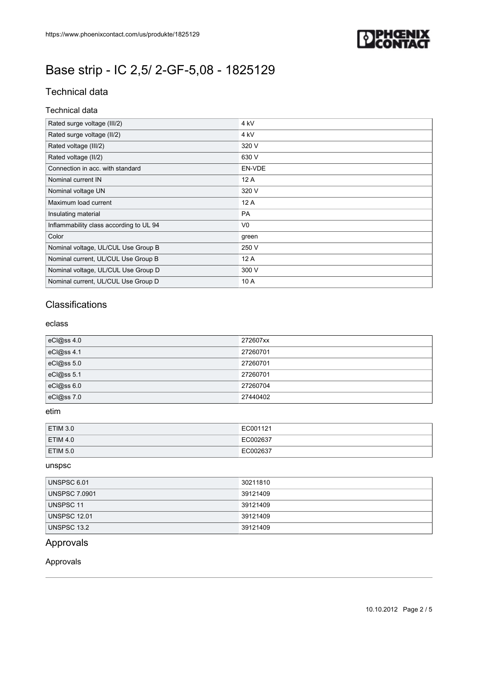

# Technical data

### Technical data

| Rated surge voltage (III/2)             | 4 kV            |
|-----------------------------------------|-----------------|
| Rated surge voltage (II/2)              | 4 <sub>kV</sub> |
| Rated voltage (III/2)                   | 320 V           |
| Rated voltage (II/2)                    | 630 V           |
| Connection in acc. with standard        | EN-VDE          |
| Nominal current IN                      | 12A             |
| Nominal voltage UN                      | 320 V           |
| Maximum load current                    | 12 A            |
| Insulating material                     | <b>PA</b>       |
| Inflammability class according to UL 94 | V <sub>0</sub>  |
| Color                                   | green           |
| Nominal voltage, UL/CUL Use Group B     | 250 V           |
| Nominal current, UL/CUL Use Group B     | 12A             |
| Nominal voltage, UL/CUL Use Group D     | 300 V           |
| Nominal current, UL/CUL Use Group D     | 10 A            |

# **Classifications**

### eclass

| eCl@ss 4.0 | 272607xx |
|------------|----------|
| eCl@ss 4.1 | 27260701 |
| eCl@ss 5.0 | 27260701 |
| eCl@ss 5.1 | 27260701 |
| eCl@ss 6.0 | 27260704 |
| eCl@ss 7.0 | 27440402 |

### etim

| <b>ETIM 3.0</b> | EC001121 |
|-----------------|----------|
| <b>ETIM 4.0</b> | EC002637 |
| <b>ETIM 5.0</b> | EC002637 |

#### unspsc

| UNSPSC 6.01          | 30211810 |
|----------------------|----------|
| <b>UNSPSC 7.0901</b> | 39121409 |
| UNSPSC 11            | 39121409 |
| <b>UNSPSC 12.01</b>  | 39121409 |
| UNSPSC 13.2          | 39121409 |

# Approvals

## Approvals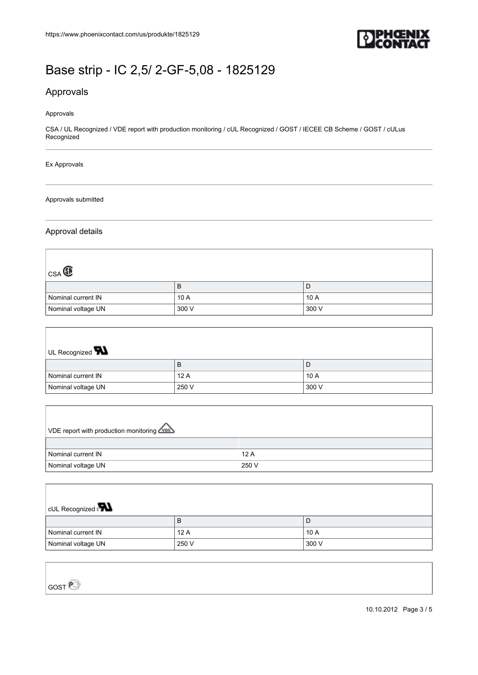

# Approvals

#### Approvals

CSA / UL Recognized / VDE report with production monitoring / cUL Recognized / GOST / IECEE CB Scheme / GOST / cULus Recognized

#### Ex Approvals

#### Approvals submitted

### Approval details

| $_{\text{CSA}}$ $\textcircled{\textsc{f}}$ |       |       |
|--------------------------------------------|-------|-------|
|                                            | B     | D     |
| Nominal current IN                         | 10A   | 10 A  |
| Nominal voltage UN                         | 300 V | 300 V |

| UL Recognized $\blacksquare$ |       |       |
|------------------------------|-------|-------|
|                              | В     | ◡     |
| Nominal current IN           | 12A   | 10 A  |
| Nominal voltage UN           | 250 V | 300 V |

| VDE report with production monitoring |       |
|---------------------------------------|-------|
|                                       |       |
| Nominal current IN                    | 12A   |
| Nominal voltage UN                    | 250 V |

| <b>CUL Recognized</b> |       |       |
|-----------------------|-------|-------|
|                       | В     | D     |
| Nominal current IN    | 12A   | 10 A  |
| Nominal voltage UN    | 250 V | 300 V |

GOST<sup>®</sup>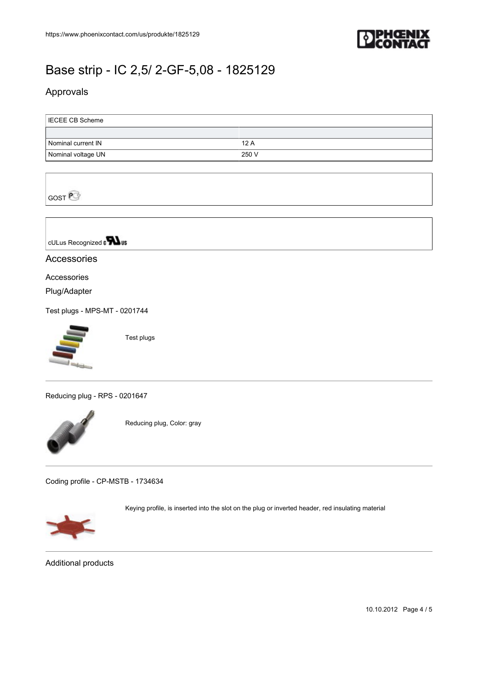

# Approvals

| <b>IECEE CB Scheme</b> |       |
|------------------------|-------|
|                        |       |
| Nominal current IN     | 12A   |
| Nominal voltage UN     | 250 V |



cULus Recognized a **Wus** 

# Accessories

## Accessories

Plug/Adapter

[Test plugs - MPS-MT - 0201744](https://www.phoenixcontact.com/us/produkte/0201744)



Test plugs

[Reducing plug - RPS - 0201647](https://www.phoenixcontact.com/us/produkte/0201647)



Reducing plug, Color: gray

[Coding profile - CP-MSTB - 1734634](https://www.phoenixcontact.com/us/produkte/1734634)



Keying profile, is inserted into the slot on the plug or inverted header, red insulating material

Additional products